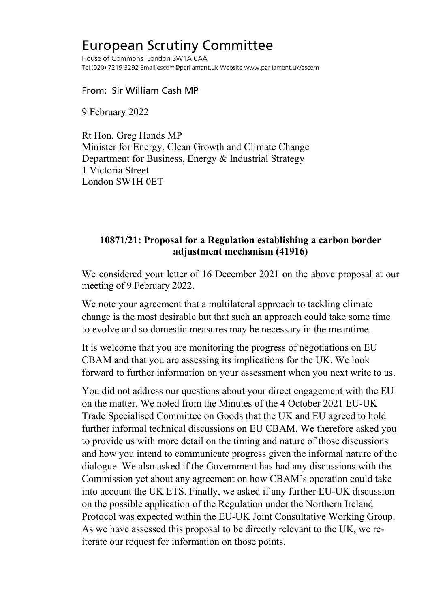## European Scrutiny Committee

House of Commons London SW1A 0AA Tel (020) 7219 3292 Email escom@parliament.uk Website www.parliament.uk/escom

From: Sir William Cash MP

9 February 2022

Rt Hon. Greg Hands MP Minister for Energy, Clean Growth and Climate Change Department for Business, Energy & Industrial Strategy 1 Victoria Street London SW1H 0ET

## **10871/21: Proposal for a Regulation establishing a carbon border adjustment mechanism (41916)**

We considered your letter of 16 December 2021 on the above proposal at our meeting of 9 February 2022.

We note your agreement that a multilateral approach to tackling climate change is the most desirable but that such an approach could take some time to evolve and so domestic measures may be necessary in the meantime.

It is welcome that you are monitoring the progress of negotiations on EU CBAM and that you are assessing its implications for the UK. We look forward to further information on your assessment when you next write to us.

You did not address our questions about your direct engagement with the EU on the matter. We noted from the Minutes of the 4 October 2021 EU-UK Trade Specialised Committee on Goods that the UK and EU agreed to hold further informal technical discussions on EU CBAM. We therefore asked you to provide us with more detail on the timing and nature of those discussions and how you intend to communicate progress given the informal nature of the dialogue. We also asked if the Government has had any discussions with the Commission yet about any agreement on how CBAM's operation could take into account the UK ETS. Finally, we asked if any further EU-UK discussion on the possible application of the Regulation under the Northern Ireland Protocol was expected within the EU-UK Joint Consultative Working Group. As we have assessed this proposal to be directly relevant to the UK, we reiterate our request for information on those points.